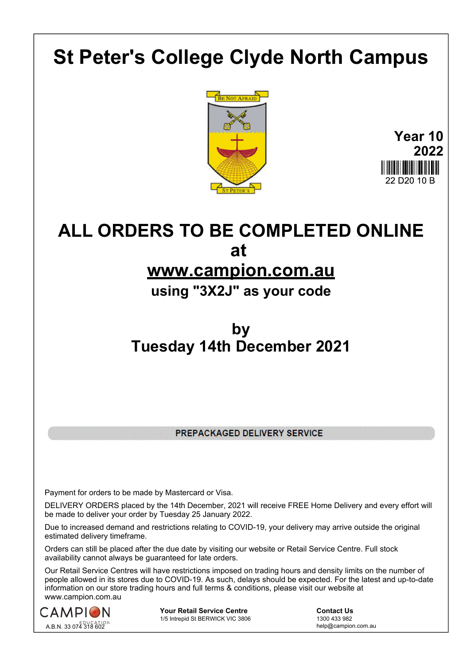## **St Peter's College Clyde North Campus**



**Year 10 2022** 22 D20 10 B

## **ALL ORDERS TO BE COMPLETED ONLINE at**

## **www.campion.com.au**

**using "3X2J" as your code**

## **by Tuesday 14th December 2021**

PREPACKAGED DELIVERY SERVICE

Payment for orders to be made by Mastercard or Visa.

DELIVERY ORDERS placed by the 14th December, 2021 will receive FREE Home Delivery and every effort will be made to deliver your order by Tuesday 25 January 2022.

Due to increased demand and restrictions relating to COVID-19, your delivery may arrive outside the original estimated delivery timeframe.

Orders can still be placed after the due date by visiting our website or Retail Service Centre. Full stock availability cannot always be guaranteed for late orders.

Our Retail Service Centres will have restrictions imposed on trading hours and density limits on the number of people allowed in its stores due to COVID-19. As such, delays should be expected. For the latest and up-to-date information on our store trading hours and full terms & conditions, please visit our website at www.campion.com.au



**Your Retail Service Centre** <br>
1/5 Intrepid St BERWICK VIC 3806<br>
1300 433 982 1/5 Intrepid St BERWICK VIC 3806

help@campion.com.au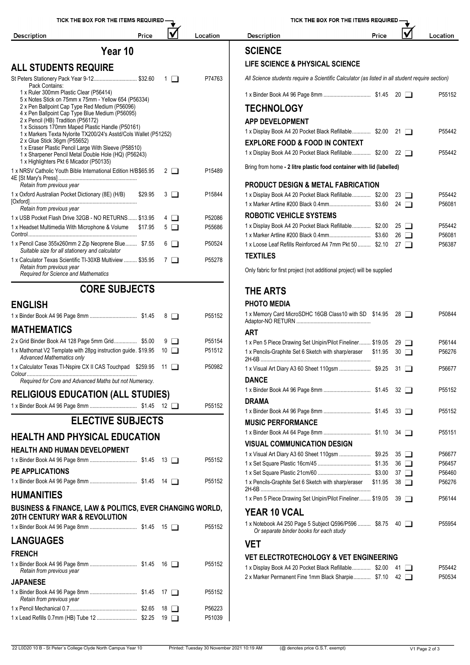

| TICK THE BOX FOR THE ITEMS REQUIRED.                                                            |         |    |             |          |  |  |  |  |
|-------------------------------------------------------------------------------------------------|---------|----|-------------|----------|--|--|--|--|
| <b>Description</b>                                                                              | Price   |    |             | Location |  |  |  |  |
| <b>SCIENCE</b>                                                                                  |         |    |             |          |  |  |  |  |
| <b>LIFE SCIENCE &amp; PHYSICAL SCIENCE</b>                                                      |         |    |             |          |  |  |  |  |
| All Science students require a Scientific Calculator (as listed in all student require section) |         |    |             |          |  |  |  |  |
|                                                                                                 |         | 20 |             | P55152   |  |  |  |  |
| <b>TECHNOLOGY</b>                                                                               |         |    |             |          |  |  |  |  |
|                                                                                                 |         |    |             |          |  |  |  |  |
| <b>APP DEVELOPMENT</b>                                                                          |         |    |             |          |  |  |  |  |
| 1 x Display Book A4 20 Pocket Black Refillable \$2.00                                           |         |    | $21 \mid$   | P55442   |  |  |  |  |
| <b>EXPLORE FOOD &amp; FOOD IN CONTEXT</b>                                                       |         |    |             |          |  |  |  |  |
| 1 x Display Book A4 20 Pocket Black Refillable \$2.00                                           |         |    | $22 \Box$   | P55442   |  |  |  |  |
| Bring from home - 2 litre plastic food container with lid (labelled)                            |         |    |             |          |  |  |  |  |
| PRODUCT DESIGN & METAL FABRICATION                                                              |         |    |             |          |  |  |  |  |
| 1 x Display Book A4 20 Pocket Black Refillable \$2.00                                           |         |    | $23 \Box$   | P55442   |  |  |  |  |
|                                                                                                 |         |    | 24 $\Box$   | P56081   |  |  |  |  |
| <b>ROBOTIC VEHICLE SYSTEMS</b>                                                                  |         |    |             |          |  |  |  |  |
| 1 x Display Book A4 20 Pocket Black Refillable \$2.00                                           |         |    | $25 \Box$   | P55442   |  |  |  |  |
|                                                                                                 |         |    | $26 \Box$   | P56081   |  |  |  |  |
| 1 x Loose Leaf Refills Reinforced A4 7mm Pkt 50  \$2.10                                         |         |    | 27 $\Box$   | P56387   |  |  |  |  |
| TEXTILES                                                                                        |         |    |             |          |  |  |  |  |
| Only fabric for first project (not additional project) will be supplied                         |         |    |             |          |  |  |  |  |
| THE ARTS                                                                                        |         |    |             |          |  |  |  |  |
| PHOTO MEDIA                                                                                     |         |    |             |          |  |  |  |  |
| 1 x Memory Card MicroSDHC 16GB Class10 with SD \$14.95                                          |         |    | $28 \Box$   | P50844   |  |  |  |  |
| ART                                                                                             |         |    |             |          |  |  |  |  |
| 1 x Pen 5 Piece Drawing Set Unipin/Pilot Fineliner \$19.05                                      |         | 29 |             | P56144   |  |  |  |  |
| 1 x Pencils-Graphite Set 6 Sketch with sharp/eraser                                             | \$11.95 |    | $30$ $\Box$ | P56276   |  |  |  |  |
| 1 x Visual Art Diary A3 60 Sheet 110gsm  \$9.25 31                                              |         |    |             | P56677   |  |  |  |  |
| <b>DANCE</b>                                                                                    |         |    |             |          |  |  |  |  |
|                                                                                                 |         |    | $32 \Box$   | P55152   |  |  |  |  |
| DRAMA                                                                                           |         |    |             |          |  |  |  |  |
|                                                                                                 |         |    | $33 \Box$   | P55152   |  |  |  |  |
| <b>MUSIC PERFORMANCE</b>                                                                        |         |    |             |          |  |  |  |  |
|                                                                                                 |         |    | $34$ $\Box$ | P55151   |  |  |  |  |
| <b>VISUAL COMMUNICATION DESIGN</b>                                                              |         |    |             |          |  |  |  |  |
|                                                                                                 |         |    | 35 □        | P56677   |  |  |  |  |
|                                                                                                 |         |    | $36$ $\Box$ | P56457   |  |  |  |  |
|                                                                                                 |         |    | 37 $\Box$   | P56460   |  |  |  |  |
| 1 x Pencils-Graphite Set 6 Sketch with sharp/eraser                                             | \$11.95 |    | 38 □        | P56276   |  |  |  |  |
| 1 x Pen 5 Piece Drawing Set Unipin/Pilot Fineliner \$19.05                                      |         |    | 39 □        | P56144   |  |  |  |  |
| YEAR 10 VCAL                                                                                    |         |    |             |          |  |  |  |  |
| 1 x Notebook A4 250 Page 5 Subject Q596/P596  \$8.75<br>Or separate binder books for each study |         |    | 40 □        | P55954   |  |  |  |  |
| VET                                                                                             |         |    |             |          |  |  |  |  |
| <b>VET ELECTROTECHOLOGY &amp; VET ENGINEERING</b>                                               |         |    |             |          |  |  |  |  |
| 1 x Display Book A4 20 Pocket Black Refillable \$2.00                                           |         |    | 41 1        | P55442   |  |  |  |  |
| 2 x Marker Permanent Fine 1mm Black Sharpie \$7.10                                              |         |    | 42 □        | P50534   |  |  |  |  |
|                                                                                                 |         |    |             |          |  |  |  |  |
|                                                                                                 |         |    |             |          |  |  |  |  |